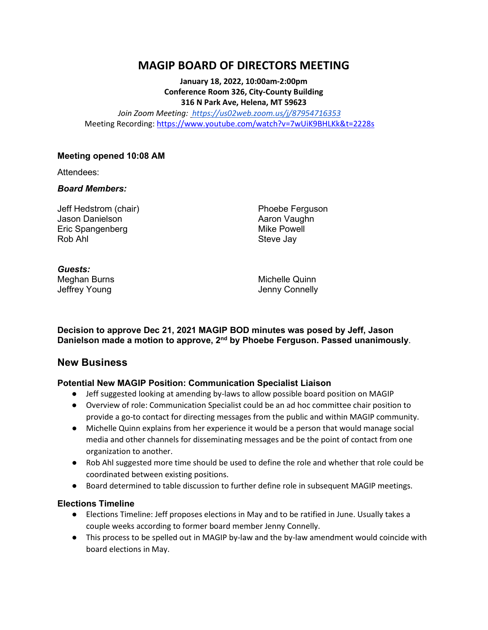# **MAGIP BOARD OF DIRECTORS MEETING**

**January 18, 2022, 10:00am-2:00pm Conference Room 326, City-County Building 316 N Park Ave, Helena, MT 59623**

*Join Zoom Meeting[: https://us02web.zoom.us/j/87954716353](https://urldefense.com/v3/__https:/us02web.zoom.us/j/87954716353__;!!GaaboA!-ZorRnAwQpRCyzSjWWQGAVuNUqCYuOYv1IysjayHa0myV1qZ0IC28bPaztldfZCu$)* Meeting Recording: <https://www.youtube.com/watch?v=7wUiK9BHLKk&t=2228s>

### **Meeting opened 10:08 AM**

Attendees:

### *Board Members:*

Jeff Hedstrom (chair) Jason Danielson Eric Spangenberg Rob Ahl

Phoebe Ferguson Aaron Vaughn Mike Powell Steve Jay

#### *Guests:* Meghan Burns Jeffrey Young

Michelle Quinn Jenny Connelly

**Decision to approve Dec 21, 2021 MAGIP BOD minutes was posed by Jeff, Jason Danielson made a motion to approve, 2nd by Phoebe Ferguson. Passed unanimously**.

### **New Business**

### **Potential New MAGIP Position: Communication Specialist Liaison**

- Jeff suggested looking at amending by-laws to allow possible board position on MAGIP
- Overview of role: Communication Specialist could be an ad hoc committee chair position to provide a go-to contact for directing messages from the public and within MAGIP community.
- Michelle Quinn explains from her experience it would be a person that would manage social media and other channels for disseminating messages and be the point of contact from one organization to another.
- Rob Ahl suggested more time should be used to define the role and whether that role could be coordinated between existing positions.
- Board determined to table discussion to further define role in subsequent MAGIP meetings.

### **Elections Timeline**

- Elections Timeline: Jeff proposes elections in May and to be ratified in June. Usually takes a couple weeks according to former board member Jenny Connelly.
- This process to be spelled out in MAGIP by-law and the by-law amendment would coincide with board elections in May.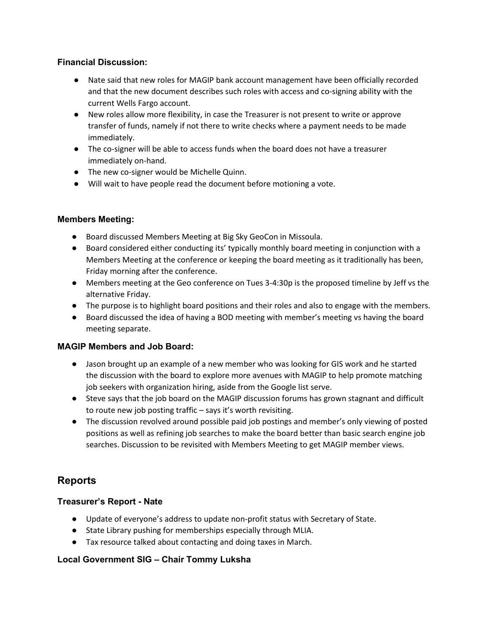### **Financial Discussion:**

- Nate said that new roles for MAGIP bank account management have been officially recorded and that the new document describes such roles with access and co-signing ability with the current Wells Fargo account.
- New roles allow more flexibility, in case the Treasurer is not present to write or approve transfer of funds, namely if not there to write checks where a payment needs to be made immediately.
- The co-signer will be able to access funds when the board does not have a treasurer immediately on-hand.
- The new co-signer would be Michelle Quinn.
- Will wait to have people read the document before motioning a vote.

## **Members Meeting:**

- Board discussed Members Meeting at Big Sky GeoCon in Missoula.
- Board considered either conducting its' typically monthly board meeting in conjunction with a Members Meeting at the conference or keeping the board meeting as it traditionally has been, Friday morning after the conference.
- Members meeting at the Geo conference on Tues 3-4:30p is the proposed timeline by Jeff vs the alternative Friday.
- The purpose is to highlight board positions and their roles and also to engage with the members.
- Board discussed the idea of having a BOD meeting with member's meeting vs having the board meeting separate.

### **MAGIP Members and Job Board:**

- Jason brought up an example of a new member who was looking for GIS work and he started the discussion with the board to explore more avenues with MAGIP to help promote matching job seekers with organization hiring, aside from the Google list serve.
- Steve says that the job board on the MAGIP discussion forums has grown stagnant and difficult to route new job posting traffic – says it's worth revisiting.
- The discussion revolved around possible paid job postings and member's only viewing of posted positions as well as refining job searches to make the board better than basic search engine job searches. Discussion to be revisited with Members Meeting to get MAGIP member views.

# **Reports**

# **Treasurer's Report - Nate**

- Update of everyone's address to update non-profit status with Secretary of State.
- State Library pushing for memberships especially through MLIA.
- Tax resource talked about contacting and doing taxes in March.

# **Local Government SIG – Chair Tommy Luksha**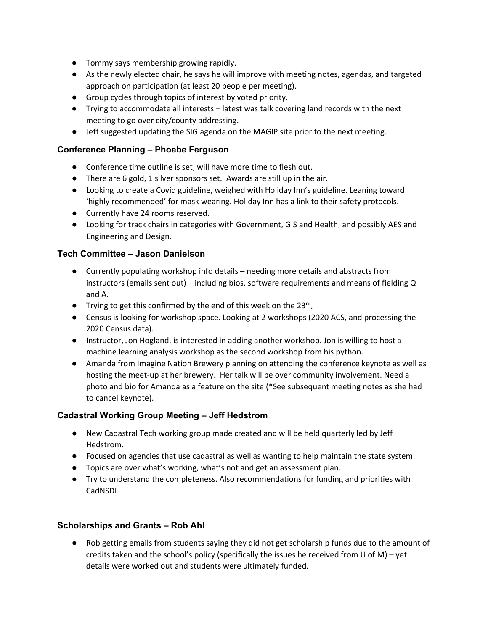- Tommy says membership growing rapidly.
- As the newly elected chair, he says he will improve with meeting notes, agendas, and targeted approach on participation (at least 20 people per meeting).
- Group cycles through topics of interest by voted priority.
- Trying to accommodate all interests latest was talk covering land records with the next meeting to go over city/county addressing.
- Jeff suggested updating the SIG agenda on the MAGIP site prior to the next meeting.

## **Conference Planning – Phoebe Ferguson**

- Conference time outline is set, will have more time to flesh out.
- There are 6 gold, 1 silver sponsors set. Awards are still up in the air.
- Looking to create a Covid guideline, weighed with Holiday Inn's guideline. Leaning toward 'highly recommended' for mask wearing. Holiday Inn has a link to their safety protocols.
- Currently have 24 rooms reserved.
- Looking for track chairs in categories with Government, GIS and Health, and possibly AES and Engineering and Design.

## **Tech Committee – Jason Danielson**

- Currently populating workshop info details needing more details and abstracts from instructors (emails sent out) – including bios, software requirements and means of fielding Q and A.
- Trying to get this confirmed by the end of this week on the  $23^{rd}$ .
- Census is looking for workshop space. Looking at 2 workshops (2020 ACS, and processing the 2020 Census data).
- Instructor, Jon Hogland, is interested in adding another workshop. Jon is willing to host a machine learning analysis workshop as the second workshop from his python.
- Amanda from Imagine Nation Brewery planning on attending the conference keynote as well as hosting the meet-up at her brewery. Her talk will be over community involvement. Need a photo and bio for Amanda as a feature on the site (\*See subsequent meeting notes as she had to cancel keynote).

### **Cadastral Working Group Meeting – Jeff Hedstrom**

- New Cadastral Tech working group made created and will be held quarterly led by Jeff Hedstrom.
- Focused on agencies that use cadastral as well as wanting to help maintain the state system.
- Topics are over what's working, what's not and get an assessment plan.
- Try to understand the completeness. Also recommendations for funding and priorities with CadNSDI.

### **Scholarships and Grants – Rob Ahl**

● Rob getting emails from students saying they did not get scholarship funds due to the amount of credits taken and the school's policy (specifically the issues he received from U of M) – yet details were worked out and students were ultimately funded.